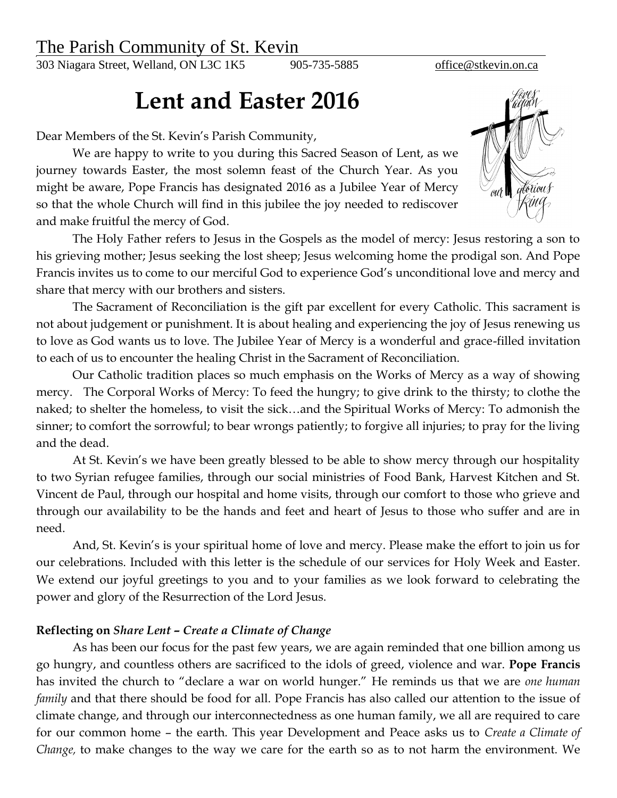## The Parish Community of St. Kevin

303 Niagara Street, Welland, ON L3C 1K5 905-735-5885 [office@stkevin.on.ca](mailto:office@stkevin.on.ca)

## **Lent and Easter 2016**

Dear Members of the St. Kevin's Parish Community,

We are happy to write to you during this Sacred Season of Lent, as we journey towards Easter, the most solemn feast of the Church Year. As you might be aware, Pope Francis has designated 2016 as a Jubilee Year of Mercy so that the whole Church will find in this jubilee the joy needed to rediscover and make fruitful the mercy of God.



The Holy Father refers to Jesus in the Gospels as the model of mercy: Jesus restoring a son to his grieving mother; Jesus seeking the lost sheep; Jesus welcoming home the prodigal son. And Pope Francis invites us to come to our merciful God to experience God's unconditional love and mercy and share that mercy with our brothers and sisters.

The Sacrament of Reconciliation is the gift par excellent for every Catholic. This sacrament is not about judgement or punishment. It is about healing and experiencing the joy of Jesus renewing us to love as God wants us to love. The Jubilee Year of Mercy is a wonderful and grace-filled invitation to each of us to encounter the healing Christ in the Sacrament of Reconciliation.

Our Catholic tradition places so much emphasis on the Works of Mercy as a way of showing mercy. The Corporal Works of Mercy: To feed the hungry; to give drink to the thirsty; to clothe the naked; to shelter the homeless, to visit the sick…and the Spiritual Works of Mercy: To admonish the sinner; to comfort the sorrowful; to bear wrongs patiently; to forgive all injuries; to pray for the living and the dead.

At St. Kevin's we have been greatly blessed to be able to show mercy through our hospitality to two Syrian refugee families, through our social ministries of Food Bank, Harvest Kitchen and St. Vincent de Paul, through our hospital and home visits, through our comfort to those who grieve and through our availability to be the hands and feet and heart of Jesus to those who suffer and are in need.

And, St. Kevin's is your spiritual home of love and mercy. Please make the effort to join us for our celebrations. Included with this letter is the schedule of our services for Holy Week and Easter. We extend our joyful greetings to you and to your families as we look forward to celebrating the power and glory of the Resurrection of the Lord Jesus.

## **Reflecting on** *Share Lent – Create a Climate of Change*

As has been our focus for the past few years, we are again reminded that one billion among us go hungry, and countless others are sacrificed to the idols of greed, violence and war. **Pope Francis** has invited the church to "declare a war on world hunger." He reminds us that we are *one human family* and that there should be food for all. Pope Francis has also called our attention to the issue of climate change, and through our interconnectedness as one human family, we all are required to care for our common home – the earth. This year Development and Peace asks us to *Create a Climate of Change,* to make changes to the way we care for the earth so as to not harm the environment. We